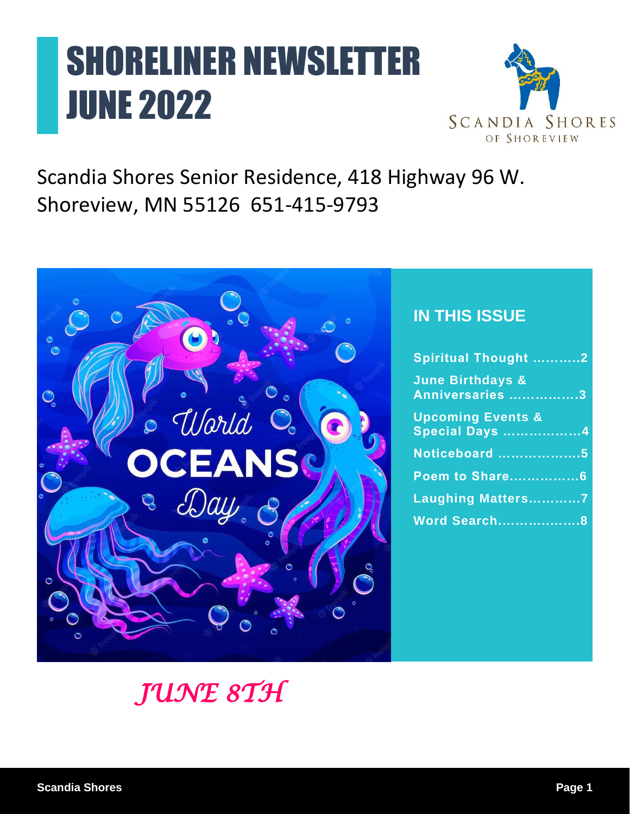# SHORELINER NEWSLETTER JUNE 2022



Scandia Shores Senior Residence, 418 Highway 96 W. Shoreview, MN 55126 651-415-9793



### **IN THIS ISSUE**

| <b>Spiritual Thought 2</b>                     |
|------------------------------------------------|
| <b>June Birthdays &amp;</b><br>Anniversaries 3 |
| <b>Upcoming Events &amp;</b><br>Special Days 4 |
| Noticeboard 5                                  |
| <b>Poem to Share6</b>                          |
| Laughing Matters7                              |
| Word Search8                                   |
|                                                |

## *JUNE 8TH*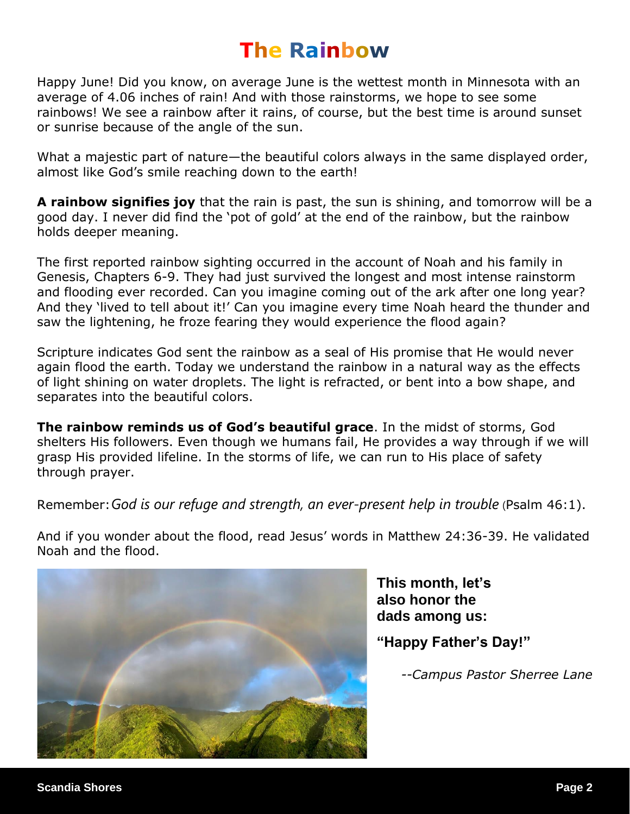### **The Rainbow**

Happy June! Did you know, on average June is the wettest month in Minnesota with an average of 4.06 inches of rain! And with those rainstorms, we hope to see some rainbows! We see a rainbow after it rains, of course, but the best time is around sunset or sunrise because of the angle of the sun.

What a majestic part of nature—the beautiful colors always in the same displayed order, almost like God's smile reaching down to the earth!

**A rainbow signifies joy** that the rain is past, the sun is shining, and tomorrow will be a good day. I never did find the 'pot of gold' at the end of the rainbow, but the rainbow holds deeper meaning.

The first reported rainbow sighting occurred in the account of Noah and his family in Genesis, Chapters 6-9. They had just survived the longest and most intense rainstorm and flooding ever recorded. Can you imagine coming out of the ark after one long year? And they 'lived to tell about it!' Can you imagine every time Noah heard the thunder and saw the lightening, he froze fearing they would experience the flood again?

Scripture indicates God sent the rainbow as a seal of His promise that He would never again flood the earth. Today we understand the rainbow in a natural way as the effects of light shining on water droplets. The light is refracted, or bent into a bow shape, and separates into the beautiful colors.

**The rainbow reminds us of God's beautiful grace**. In the midst of storms, God shelters His followers. Even though we humans fail, He provides a way through if we will grasp His provided lifeline. In the storms of life, we can run to His place of safety through prayer.

Remember:*God is our refuge and strength, an ever-present help in trouble* (Psalm 46:1).

And if you wonder about the flood, read Jesus' words in Matthew 24:36-39. He validated Noah and the flood.



**This month, let's also honor the dads among us:** 

### **"Happy Father's Day!"**

*--Campus Pastor Sherree Lane*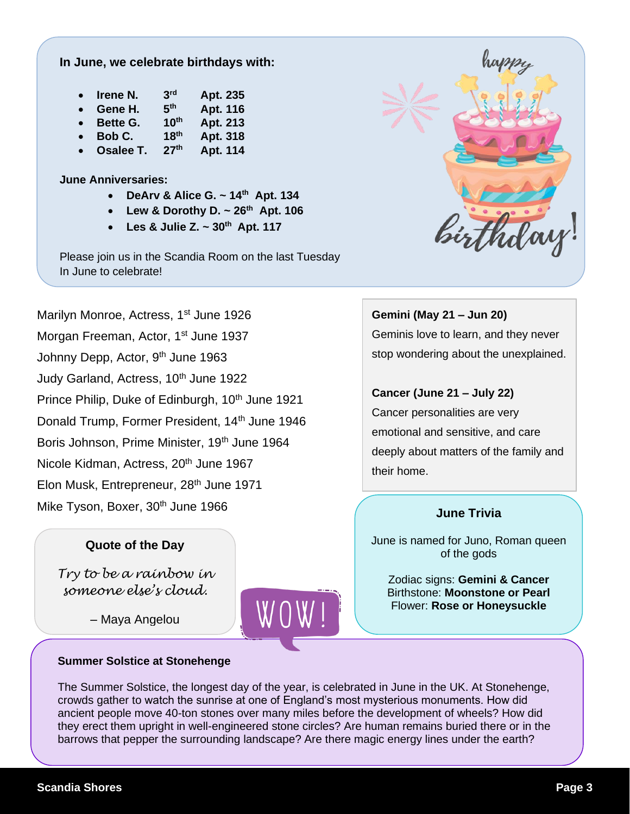### **In June, we celebrate birthdays with:**

| $\bullet$ | Irene N. | 3 <sup>rd</sup>  | Apt. 235 |
|-----------|----------|------------------|----------|
| $\bullet$ | Gene H.  | 5 <sup>th</sup>  | Apt. 116 |
| $\bullet$ | Bette G. | 10 <sup>th</sup> | Apt. 213 |
|           |          | والمدر           | .        |

- **Bob C. 18th Apt. 318**
- **Osalee T. 27th Apt. 114**

### **June Anniversaries:**

- **DeArv & Alice G. ~ 14th Apt. 134**
- **Lew & Dorothy D. ~ 26th Apt. 106**
- **Les & Julie Z. ~ 30th Apt. 117**

Please join us in the Scandia Room on the last Tuesday In June to celebrate!

Marilyn Monroe, Actress, 1<sup>st</sup> June 1926 Morgan Freeman, Actor, 1<sup>st</sup> June 1937 Johnny Depp, Actor, 9<sup>th</sup> June 1963 Judy Garland, Actress, 10<sup>th</sup> June 1922 Prince Philip, Duke of Edinburgh, 10<sup>th</sup> June 1921 Donald Trump, Former President, 14<sup>th</sup> June 1946 Boris Johnson, Prime Minister, 19th June 1964 Nicole Kidman, Actress, 20<sup>th</sup> June 1967 Elon Musk, Entrepreneur, 28<sup>th</sup> June 1971 Mike Tyson, Boxer, 30<sup>th</sup> June 1966

### **Quote of the Day**

*Try to be a rainbow in someone else's cloud.*

– Maya Angelou

### **Summer Solstice at Stonehenge**



### **Gemini (May 21 – Jun 20)** Geminis love to learn, and they never

stop wondering about the unexplained.

### **Cancer (June 21 – July 22)**

Cancer personalities are very emotional and sensitive, and care deeply about matters of the family and their home.

### **June Trivia**

June is named for Juno, Roman queen of the gods

Zodiac signs: **Gemini & Cancer** Birthstone: **Moonstone or Pearl** Flower: **Rose or Honeysuckle**

The Summer Solstice, the longest day of the year, is celebrated in June in the UK. At Stonehenge, crowds gather to watch the sunrise at one of England's most mysterious monuments. How did ancient people move 40-ton stones over many miles before the development of wheels? How did they erect them upright in well-engineered stone circles? Are human remains buried there or in the barrows that pepper the surrounding landscape? Are there magic energy lines under the earth?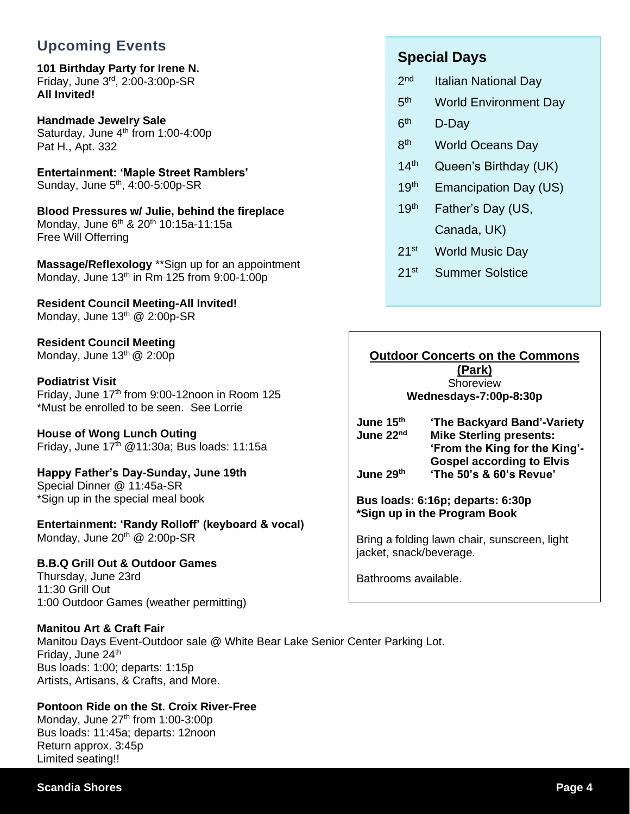### **Upcoming Events**

**101 Birthday Party for Irene N.** Friday, June 3rd, 2:00-3:00p-SR **All Invited!**

**Handmade Jewelry Sale** Saturday, June  $4<sup>th</sup>$  from 1:00-4:00p Pat H., Apt. 332

**Entertainment: 'Maple Street Ramblers'** Sunday, June 5<sup>th</sup>, 4:00-5:00p-SR

**Blood Pressures w/ Julie, behind the fireplace** Monday, June 6<sup>th</sup> & 20<sup>th</sup> 10:15a-11:15a Free Will Offerring

**Massage/Reflexology** \*\*Sign up for an appointment Monday, June  $13<sup>th</sup>$  in Rm 125 from 9:00-1:00p

**Resident Council Meeting-All Invited!** Monday, June  $13^{th}$  @ 2:00p-SR

**Resident Council Meeting** Monday, June  $13<sup>th</sup>$  @ 2:00p

#### **Podiatrist Visit**

Friday, June  $17<sup>th</sup>$  from 9:00-12noon in Room 125 \*Must be enrolled to be seen. See Lorrie

**House of Wong Lunch Outing** Friday, June 17th @11:30a; Bus loads: 11:15a

**Happy Father's Day-Sunday, June 19th** Special Dinner @ 11:45a-SR \*Sign up in the special meal book

**Entertainment: 'Randy Rolloff' (keyboard & vocal)** Monday, June 20<sup>th</sup> @ 2:00p-SR

**B.B.Q Grill Out & Outdoor Games**

Thursday, June 23rd 11:30 Grill Out 1:00 Outdoor Games (weather permitting)

### **Manitou Art & Craft Fair**

Manitou Days Event-Outdoor sale @ White Bear Lake Senior Center Parking Lot. Friday, June 24<sup>th</sup> Bus loads: 1:00; departs: 1:15p Artists, Artisans, & Crafts, and More.

### **Pontoon Ride on the St. Croix River-Free**

Monday, June  $27<sup>th</sup>$  from 1:00-3:00p Bus loads: 11:45a; departs: 12noon Return approx. 3:45p Limited seating!!

### **Special Days**

- $2<sub>nd</sub>$ Italian National Day
- $5<sup>th</sup>$ World Environment Day
- $6<sup>th</sup>$ D-Day
- 8<sup>th</sup> World Oceans Day
- 14<sup>th</sup> Queen's Birthday (UK)
- 19<sup>th</sup> Emancipation Day (US)
- 19<sup>th</sup> Father's Day (US, Canada, UK)
- 21st World Music Day
- 21<sup>st</sup> Summer Solstice

### **Outdoor Concerts on the Commons**

**(Park)** Shoreview **Wednesdays-7:00p-8:30p**

- **June 15th 'The Backyard Band'-Variety June 22nd Mike Sterling presents: 'From the King for the King'- Gospel according to Elvis**
- **June 29th 'The 50's & 60's Revue'**

**Bus loads: 6:16p; departs: 6:30p \*Sign up in the Program Book**

Bring a folding lawn chair, sunscreen, light jacket, snack/beverage.

Bathrooms available.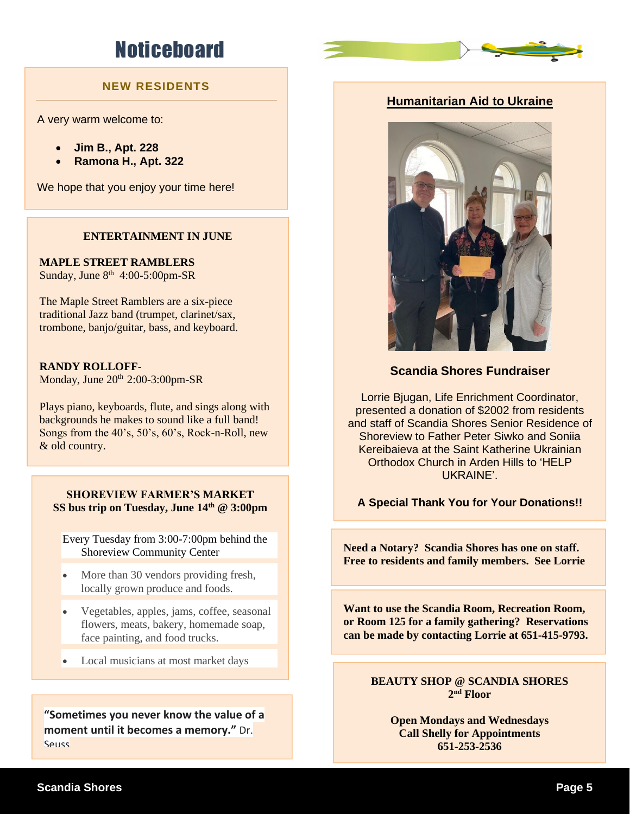### **Noticeboard**

### **NEW RESIDENTS**

A very warm welcome to:

- **Jim B., Apt. 228**
- **Ramona H., Apt. 322**

We hope that you enjoy your time here!

#### **ENTERTAINMENT IN JUNE**

**MAPLE STREET RAMBLERS** Sunday, June  $8<sup>th</sup>$  4:00-5:00pm-SR

The Maple Street Ramblers are a six-piece traditional Jazz band (trumpet, clarinet/sax, trombone, banjo/guitar, bass, and keyboard.

#### **RANDY ROLLOFF**-

Monday, June  $20^{th}$   $2:00-3:00$ pm-SR

Plays piano, keyboards, flute, and sings along with backgrounds he makes to sound like a full band! Songs from the 40's, 50's, 60's, Rock-n-Roll, new & old country.

**SHOREVIEW FARMER'S MARKET SS bus trip on Tuesday, June 14th @ 3:00pm**

Every Tuesday from 3:00-7:00pm behind the Shoreview Community Center

- More than 30 vendors providing fresh, locally grown produce and foods.
- Vegetables, apples, jams, coffee, seasonal flowers, meats, bakery, homemade soap, face painting, and food trucks.
- Local musicians at most market days

**"Sometimes you never know the value of a moment until it becomes a memory."** Dr. **Seuss** 

### **Humanitarian Aid to Ukraine**



### **Scandia Shores Fundraiser**

Lorrie Bjugan, Life Enrichment Coordinator, presented a donation of \$2002 from residents and staff of Scandia Shores Senior Residence of Shoreview to Father Peter Siwko and Soniia Kereibaieva at the Saint Katherine Ukrainian Orthodox Church in Arden Hills to 'HELP UKRAINE'.

#### **A Special Thank You for Your Donations!!**

**Need a Notary? Scandia Shores has one on staff. Free to residents and family members. See Lorrie**

**United We Stand! or Room 125 for a family gathering? Reservations Want to use the Scandia Room, Recreation Room, can be made by contacting Lorrie at 651-415-9793.**

> **BEAUTY SHOP @ SCANDIA SHORES 2 nd Floor**

**Open Mondays and Wednesdays Call Shelly for Appointments 651-253-2536**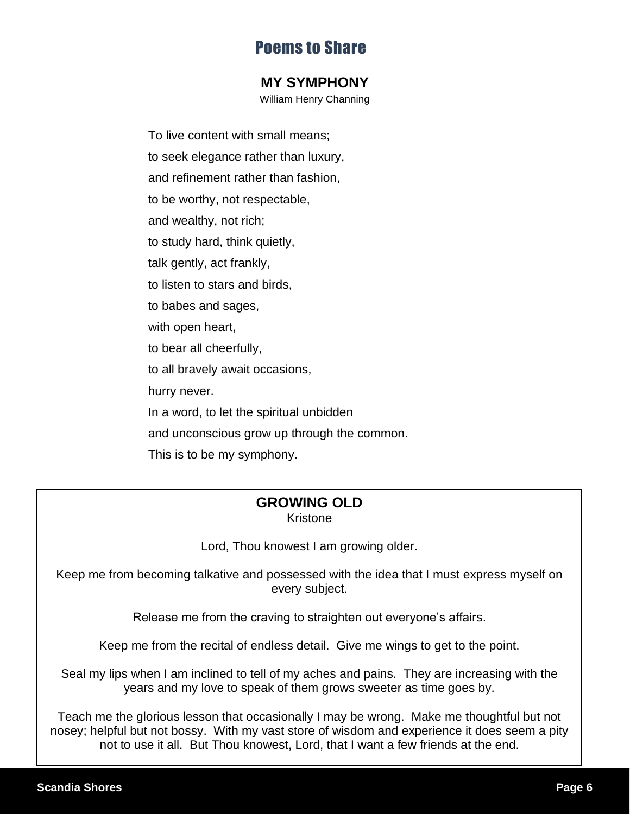### Poems to Share

### **MY SYMPHONY**

William Henry Channing

To live content with small means; to seek elegance rather than luxury, and refinement rather than fashion, to be worthy, not respectable, and wealthy, not rich; to study hard, think quietly, talk gently, act frankly, to listen to stars and birds, to babes and sages, with open heart, to bear all cheerfully, to all bravely await occasions, hurry never. In a word, to let the spiritual unbidden and unconscious grow up through the common. This is to be my symphony.

### **GROWING OLD**

Kristone

Lord, Thou knowest I am growing older.

Keep me from becoming talkative and possessed with the idea that I must express myself on every subject.

Release me from the craving to straighten out everyone's affairs.

Keep me from the recital of endless detail. Give me wings to get to the point.

Seal my lips when I am inclined to tell of my aches and pains. They are increasing with the years and my love to speak of them grows sweeter as time goes by.

Teach me the glorious lesson that occasionally I may be wrong. Make me thoughtful but not nosey; helpful but not bossy. With my vast store of wisdom and experience it does seem a pity not to use it all. But Thou knowest, Lord, that I want a few friends at the end.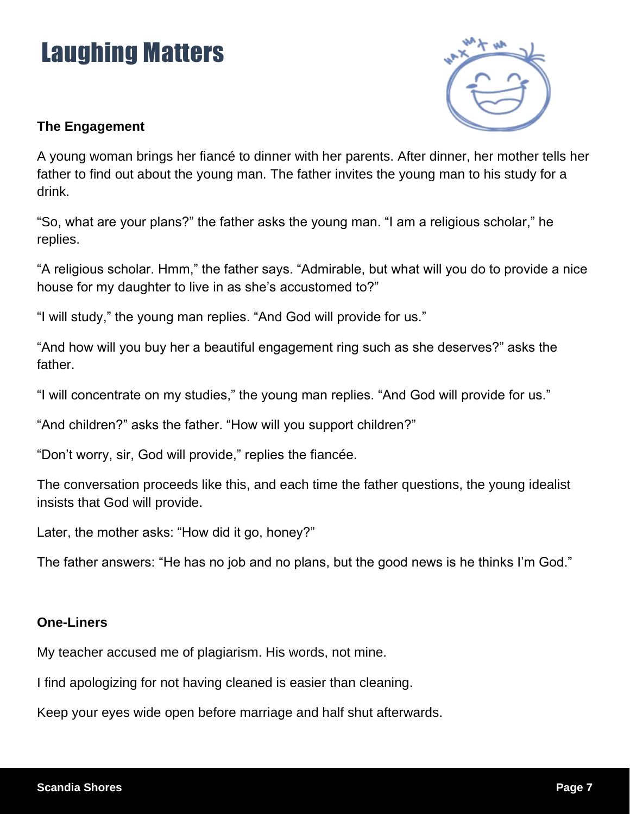# Laughing Matters



### **The Engagement**

A young woman brings her fiancé to dinner with her parents. After dinner, her mother tells her father to find out about the young man. The father invites the young man to his study for a drink.

"So, what are your plans?" the father asks the young man. "I am a religious scholar," he replies.

"A religious scholar. Hmm," the father says. "Admirable, but what will you do to provide a nice house for my daughter to live in as she's accustomed to?"

"I will study," the young man replies. "And God will provide for us."

"And how will you buy her a beautiful engagement ring such as she deserves?" asks the father.

"I will concentrate on my studies," the young man replies. "And God will provide for us."

"And children?" asks the father. "How will you support children?"

"Don't worry, sir, God will provide," replies the fiancée.

The conversation proceeds like this, and each time the father questions, the young idealist insists that God will provide.

Later, the mother asks: "How did it go, honey?"

The father answers: "He has no job and no plans, but the good news is he thinks I'm God."

### **One-Liners**

My teacher accused me of plagiarism. His words, not mine.

I find apologizing for not having cleaned is easier than cleaning.

Keep your eyes wide open before marriage and half shut afterwards.